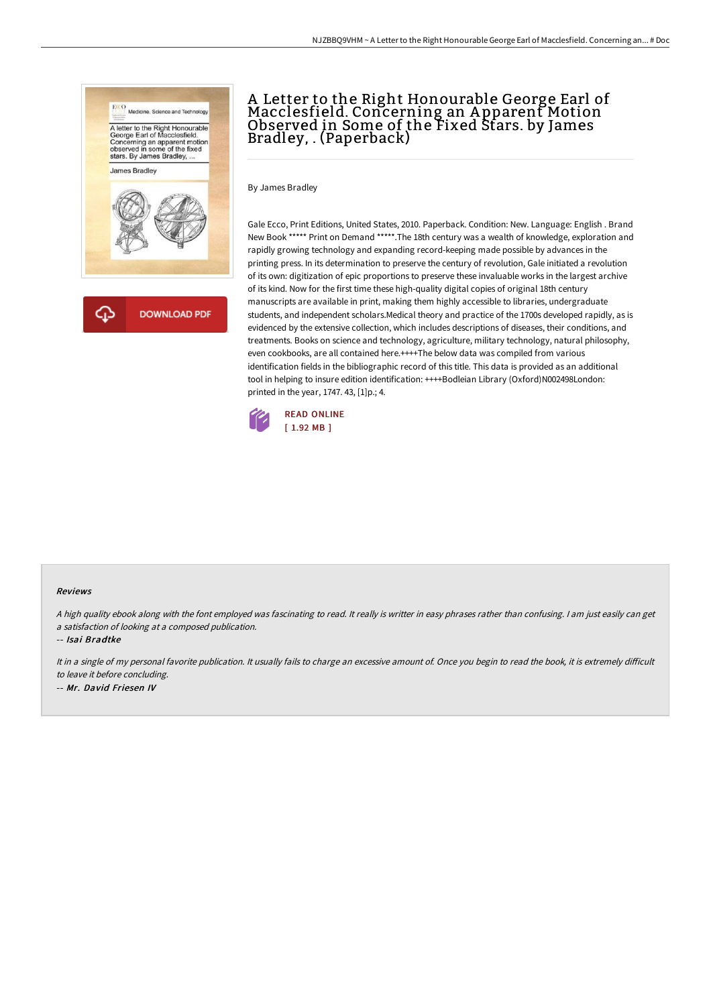

क़ **DOWNLOAD PDF** 

# A Letter to the Right Honourable George Earl of Macclesfield. Concerning an A pparent Motion Observed in Some of the Fixed Stars. by James Bradley, . (Paperback)

By James Bradley

Gale Ecco, Print Editions, United States, 2010. Paperback. Condition: New. Language: English . Brand New Book \*\*\*\*\* Print on Demand \*\*\*\*\*.The 18th century was a wealth of knowledge, exploration and rapidly growing technology and expanding record-keeping made possible by advances in the printing press. In its determination to preserve the century of revolution, Gale initiated a revolution of its own: digitization of epic proportions to preserve these invaluable works in the largest archive of its kind. Now for the first time these high-quality digital copies of original 18th century manuscripts are available in print, making them highly accessible to libraries, undergraduate students, and independent scholars.Medical theory and practice of the 1700s developed rapidly, as is evidenced by the extensive collection, which includes descriptions of diseases, their conditions, and treatments. Books on science and technology, agriculture, military technology, natural philosophy, even cookbooks, are all contained here.++++The below data was compiled from various identification fields in the bibliographic record of this title. This data is provided as an additional tool in helping to insure edition identification: ++++Bodleian Library (Oxford)N002498London: printed in the year, 1747. 43, [1]p.; 4.



#### Reviews

<sup>A</sup> high quality ebook along with the font employed was fascinating to read. It really is writter in easy phrases rather than confusing. <sup>I</sup> am just easily can get <sup>a</sup> satisfaction of looking at <sup>a</sup> composed publication.

-- Isai Bradtke

It in a single of my personal favorite publication. It usually fails to charge an excessive amount of. Once you begin to read the book, it is extremely difficult to leave it before concluding.

-- Mr. David Friesen IV